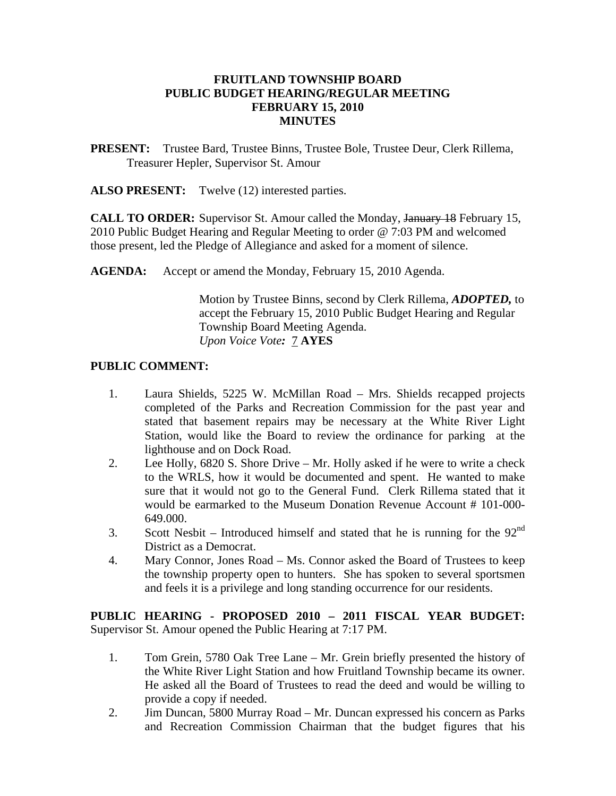## **FRUITLAND TOWNSHIP BOARD PUBLIC BUDGET HEARING/REGULAR MEETING FEBRUARY 15, 2010 MINUTES**

**PRESENT:** Trustee Bard, Trustee Binns, Trustee Bole, Trustee Deur, Clerk Rillema, Treasurer Hepler, Supervisor St. Amour

ALSO PRESENT: Twelve (12) interested parties.

**CALL TO ORDER:** Supervisor St. Amour called the Monday, January 18 February 15, 2010 Public Budget Hearing and Regular Meeting to order @ 7:03 PM and welcomed those present, led the Pledge of Allegiance and asked for a moment of silence.

**AGENDA:** Accept or amend the Monday, February 15, 2010 Agenda.

Motion by Trustee Binns, second by Clerk Rillema, *ADOPTED,* to accept the February 15, 2010 Public Budget Hearing and Regular Township Board Meeting Agenda. *Upon Voice Vote:* 7 **AYES** 

## **PUBLIC COMMENT:**

- 1. Laura Shields, 5225 W. McMillan Road Mrs. Shields recapped projects completed of the Parks and Recreation Commission for the past year and stated that basement repairs may be necessary at the White River Light Station, would like the Board to review the ordinance for parking at the lighthouse and on Dock Road.
- 2. Lee Holly, 6820 S. Shore Drive Mr. Holly asked if he were to write a check to the WRLS, how it would be documented and spent. He wanted to make sure that it would not go to the General Fund. Clerk Rillema stated that it would be earmarked to the Museum Donation Revenue Account # 101-000- 649.000.
- 3. Scott Nesbit Introduced himself and stated that he is running for the  $92<sup>nd</sup>$ District as a Democrat.
- 4. Mary Connor, Jones Road Ms. Connor asked the Board of Trustees to keep the township property open to hunters. She has spoken to several sportsmen and feels it is a privilege and long standing occurrence for our residents.

**PUBLIC HEARING - PROPOSED 2010 – 2011 FISCAL YEAR BUDGET:**  Supervisor St. Amour opened the Public Hearing at 7:17 PM.

- 1. Tom Grein, 5780 Oak Tree Lane Mr. Grein briefly presented the history of the White River Light Station and how Fruitland Township became its owner. He asked all the Board of Trustees to read the deed and would be willing to provide a copy if needed.
- 2. Jim Duncan, 5800 Murray Road Mr. Duncan expressed his concern as Parks and Recreation Commission Chairman that the budget figures that his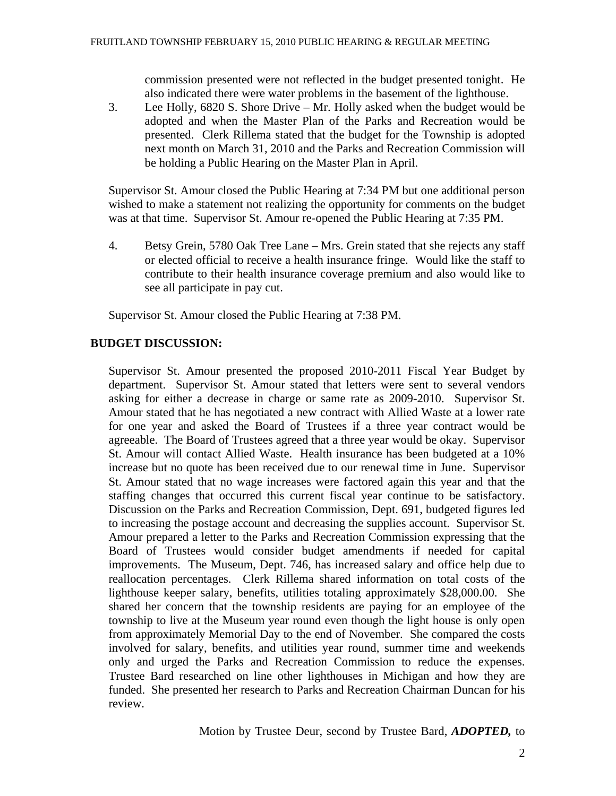commission presented were not reflected in the budget presented tonight. He also indicated there were water problems in the basement of the lighthouse.

3. Lee Holly, 6820 S. Shore Drive – Mr. Holly asked when the budget would be adopted and when the Master Plan of the Parks and Recreation would be presented. Clerk Rillema stated that the budget for the Township is adopted next month on March 31, 2010 and the Parks and Recreation Commission will be holding a Public Hearing on the Master Plan in April.

Supervisor St. Amour closed the Public Hearing at 7:34 PM but one additional person wished to make a statement not realizing the opportunity for comments on the budget was at that time. Supervisor St. Amour re-opened the Public Hearing at 7:35 PM.

4. Betsy Grein, 5780 Oak Tree Lane – Mrs. Grein stated that she rejects any staff or elected official to receive a health insurance fringe. Would like the staff to contribute to their health insurance coverage premium and also would like to see all participate in pay cut.

Supervisor St. Amour closed the Public Hearing at 7:38 PM.

# **BUDGET DISCUSSION:**

Supervisor St. Amour presented the proposed 2010-2011 Fiscal Year Budget by department. Supervisor St. Amour stated that letters were sent to several vendors asking for either a decrease in charge or same rate as 2009-2010. Supervisor St. Amour stated that he has negotiated a new contract with Allied Waste at a lower rate for one year and asked the Board of Trustees if a three year contract would be agreeable. The Board of Trustees agreed that a three year would be okay. Supervisor St. Amour will contact Allied Waste. Health insurance has been budgeted at a 10% increase but no quote has been received due to our renewal time in June. Supervisor St. Amour stated that no wage increases were factored again this year and that the staffing changes that occurred this current fiscal year continue to be satisfactory. Discussion on the Parks and Recreation Commission, Dept. 691, budgeted figures led to increasing the postage account and decreasing the supplies account. Supervisor St. Amour prepared a letter to the Parks and Recreation Commission expressing that the Board of Trustees would consider budget amendments if needed for capital improvements. The Museum, Dept. 746, has increased salary and office help due to reallocation percentages. Clerk Rillema shared information on total costs of the lighthouse keeper salary, benefits, utilities totaling approximately \$28,000.00. She shared her concern that the township residents are paying for an employee of the township to live at the Museum year round even though the light house is only open from approximately Memorial Day to the end of November. She compared the costs involved for salary, benefits, and utilities year round, summer time and weekends only and urged the Parks and Recreation Commission to reduce the expenses. Trustee Bard researched on line other lighthouses in Michigan and how they are funded. She presented her research to Parks and Recreation Chairman Duncan for his review.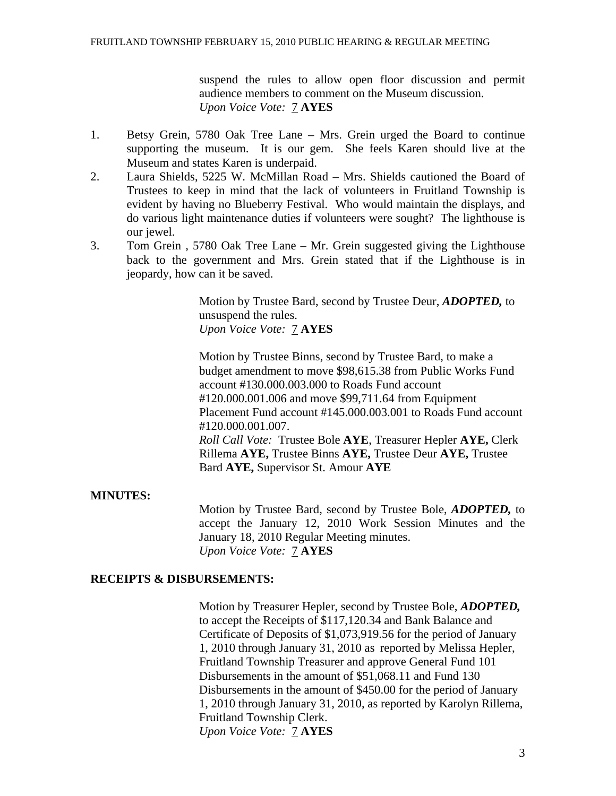suspend the rules to allow open floor discussion and permit audience members to comment on the Museum discussion. *Upon Voice Vote:* 7 **AYES** 

- 1. Betsy Grein, 5780 Oak Tree Lane Mrs. Grein urged the Board to continue supporting the museum. It is our gem. She feels Karen should live at the Museum and states Karen is underpaid.
- 2. Laura Shields, 5225 W. McMillan Road Mrs. Shields cautioned the Board of Trustees to keep in mind that the lack of volunteers in Fruitland Township is evident by having no Blueberry Festival. Who would maintain the displays, and do various light maintenance duties if volunteers were sought? The lighthouse is our jewel.
- 3. Tom Grein , 5780 Oak Tree Lane Mr. Grein suggested giving the Lighthouse back to the government and Mrs. Grein stated that if the Lighthouse is in jeopardy, how can it be saved.

Motion by Trustee Bard, second by Trustee Deur, *ADOPTED,* to unsuspend the rules. *Upon Voice Vote:* 7 **AYES** 

Motion by Trustee Binns, second by Trustee Bard, to make a budget amendment to move \$98,615.38 from Public Works Fund account #130.000.003.000 to Roads Fund account #120.000.001.006 and move \$99,711.64 from Equipment Placement Fund account #145.000.003.001 to Roads Fund account #120.000.001.007. *Roll Call Vote:* Trustee Bole **AYE**, Treasurer Hepler **AYE,** Clerk Rillema **AYE,** Trustee Binns **AYE,** Trustee Deur **AYE,** Trustee Bard **AYE,** Supervisor St. Amour **AYE** 

## **MINUTES:**

Motion by Trustee Bard, second by Trustee Bole, *ADOPTED,* to accept the January 12, 2010 Work Session Minutes and the January 18, 2010 Regular Meeting minutes. *Upon Voice Vote:* 7 **AYES**

## **RECEIPTS & DISBURSEMENTS:**

Motion by Treasurer Hepler, second by Trustee Bole, *ADOPTED,*  to accept the Receipts of \$117,120.34 and Bank Balance and Certificate of Deposits of \$1,073,919.56 for the period of January 1, 2010 through January 31, 2010 as reported by Melissa Hepler, Fruitland Township Treasurer and approve General Fund 101 Disbursements in the amount of \$51,068.11 and Fund 130 Disbursements in the amount of \$450.00 for the period of January 1, 2010 through January 31, 2010, as reported by Karolyn Rillema, Fruitland Township Clerk. *Upon Voice Vote:* 7 **AYES**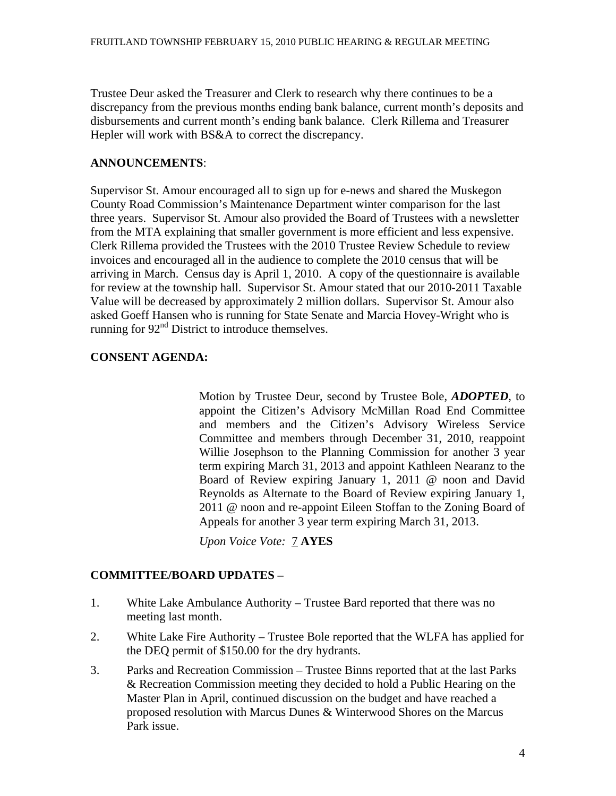Trustee Deur asked the Treasurer and Clerk to research why there continues to be a discrepancy from the previous months ending bank balance, current month's deposits and disbursements and current month's ending bank balance. Clerk Rillema and Treasurer Hepler will work with BS&A to correct the discrepancy.

# **ANNOUNCEMENTS**:

Supervisor St. Amour encouraged all to sign up for e-news and shared the Muskegon County Road Commission's Maintenance Department winter comparison for the last three years. Supervisor St. Amour also provided the Board of Trustees with a newsletter from the MTA explaining that smaller government is more efficient and less expensive. Clerk Rillema provided the Trustees with the 2010 Trustee Review Schedule to review invoices and encouraged all in the audience to complete the 2010 census that will be arriving in March. Census day is April 1, 2010. A copy of the questionnaire is available for review at the township hall. Supervisor St. Amour stated that our 2010-2011 Taxable Value will be decreased by approximately 2 million dollars. Supervisor St. Amour also asked Goeff Hansen who is running for State Senate and Marcia Hovey-Wright who is running for  $92<sup>nd</sup>$  District to introduce themselves.

# **CONSENT AGENDA:**

Motion by Trustee Deur, second by Trustee Bole, *ADOPTED*, to appoint the Citizen's Advisory McMillan Road End Committee and members and the Citizen's Advisory Wireless Service Committee and members through December 31, 2010, reappoint Willie Josephson to the Planning Commission for another 3 year term expiring March 31, 2013 and appoint Kathleen Nearanz to the Board of Review expiring January 1, 2011 @ noon and David Reynolds as Alternate to the Board of Review expiring January 1, 2011 @ noon and re-appoint Eileen Stoffan to the Zoning Board of Appeals for another 3 year term expiring March 31, 2013.

*Upon Voice Vote:* 7 **AYES** 

# **COMMITTEE/BOARD UPDATES –**

- 1. White Lake Ambulance Authority Trustee Bard reported that there was no meeting last month.
- 2. White Lake Fire Authority Trustee Bole reported that the WLFA has applied for the DEQ permit of \$150.00 for the dry hydrants.
- 3. Parks and Recreation Commission Trustee Binns reported that at the last Parks & Recreation Commission meeting they decided to hold a Public Hearing on the Master Plan in April, continued discussion on the budget and have reached a proposed resolution with Marcus Dunes & Winterwood Shores on the Marcus Park issue.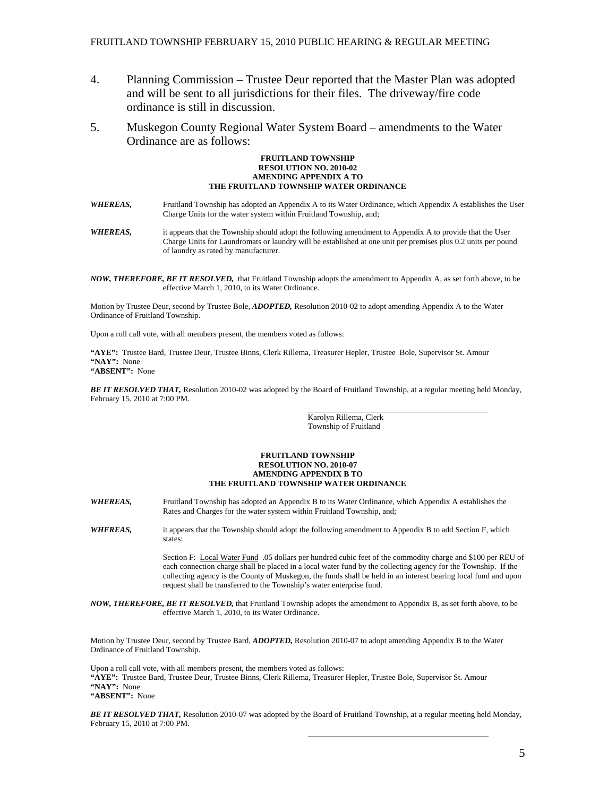- 4. Planning Commission Trustee Deur reported that the Master Plan was adopted and will be sent to all jurisdictions for their files. The driveway/fire code ordinance is still in discussion.
- 5. Muskegon County Regional Water System Board amendments to the Water Ordinance are as follows:

#### **FRUITLAND TOWNSHIP RESOLUTION NO. 2010-02 AMENDING APPENDIX A TO THE FRUITLAND TOWNSHIP WATER ORDINANCE**

- *WHEREAS,* Fruitland Township has adopted an Appendix A to its Water Ordinance, which Appendix A establishes the User Charge Units for the water system within Fruitland Township, and;
- *WHEREAS,* it appears that the Township should adopt the following amendment to Appendix A to provide that the User Charge Units for Laundromats or laundry will be established at one unit per premises plus 0.2 units per pound of laundry as rated by manufacturer.
- *NOW, THEREFORE, BE IT RESOLVED,* that Fruitland Township adopts the amendment to Appendix A, as set forth above, to be effective March 1, 2010, to its Water Ordinance.

Motion by Trustee Deur, second by Trustee Bole, *ADOPTED,* Resolution 2010-02 to adopt amending Appendix A to the Water Ordinance of Fruitland Township.

Upon a roll call vote, with all members present, the members voted as follows:

**"AYE":** Trustee Bard, Trustee Deur, Trustee Binns, Clerk Rillema, Treasurer Hepler, Trustee Bole, Supervisor St. Amour **"NAY":** None

**"ABSENT":** None

*BE IT RESOLVED THAT,* Resolution 2010-02 was adopted by the Board of Fruitland Township, at a regular meeting held Monday, February 15, 2010 at 7:00 PM.

> Karolyn Rillema, Clerk Township of Fruitland

#### **FRUITLAND TOWNSHIP RESOLUTION NO. 2010-07 AMENDING APPENDIX B TO THE FRUITLAND TOWNSHIP WATER ORDINANCE**

- *WHEREAS,* Fruitland Township has adopted an Appendix B to its Water Ordinance, which Appendix A establishes the Rates and Charges for the water system within Fruitland Township, and;
- *WHEREAS,* it appears that the Township should adopt the following amendment to Appendix B to add Section F, which states:

 Section F: Local Water Fund .05 dollars per hundred cubic feet of the commodity charge and \$100 per REU of each connection charge shall be placed in a local water fund by the collecting agency for the Township. If the collecting agency is the County of Muskegon, the funds shall be held in an interest bearing local fund and upon request shall be transferred to the Township's water enterprise fund.

*NOW, THEREFORE, BE IT RESOLVED,* that Fruitland Township adopts the amendment to Appendix B, as set forth above, to be effective March 1, 2010, to its Water Ordinance.

Motion by Trustee Deur, second by Trustee Bard, *ADOPTED,* Resolution 2010-07 to adopt amending Appendix B to the Water Ordinance of Fruitland Township.

Upon a roll call vote, with all members present, the members voted as follows: **"AYE":** Trustee Bard, Trustee Deur, Trustee Binns, Clerk Rillema, Treasurer Hepler, Trustee Bole, Supervisor St. Amour **"NAY":** None **"ABSENT":** None

*BE IT RESOLVED THAT,* Resolution 2010-07 was adopted by the Board of Fruitland Township, at a regular meeting held Monday, February 15, 2010 at 7:00 PM.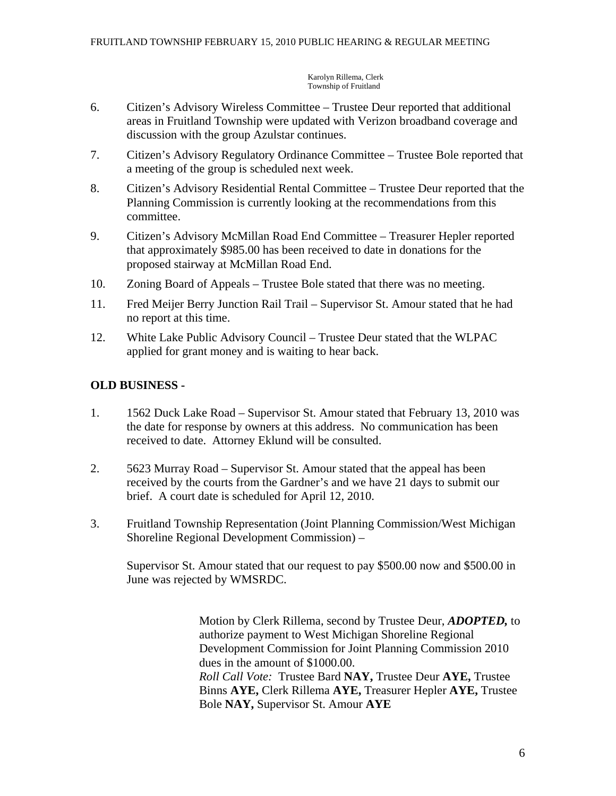Karolyn Rillema, Clerk Township of Fruitland

- 6. Citizen's Advisory Wireless Committee Trustee Deur reported that additional areas in Fruitland Township were updated with Verizon broadband coverage and discussion with the group Azulstar continues.
- 7. Citizen's Advisory Regulatory Ordinance Committee Trustee Bole reported that a meeting of the group is scheduled next week.
- 8. Citizen's Advisory Residential Rental Committee Trustee Deur reported that the Planning Commission is currently looking at the recommendations from this committee.
- 9. Citizen's Advisory McMillan Road End Committee Treasurer Hepler reported that approximately \$985.00 has been received to date in donations for the proposed stairway at McMillan Road End.
- 10. Zoning Board of Appeals Trustee Bole stated that there was no meeting.
- 11. Fred Meijer Berry Junction Rail Trail Supervisor St. Amour stated that he had no report at this time.
- 12. White Lake Public Advisory Council Trustee Deur stated that the WLPAC applied for grant money and is waiting to hear back.

# **OLD BUSINESS -**

- 1. 1562 Duck Lake Road Supervisor St. Amour stated that February 13, 2010 was the date for response by owners at this address. No communication has been received to date. Attorney Eklund will be consulted.
- 2. 5623 Murray Road Supervisor St. Amour stated that the appeal has been received by the courts from the Gardner's and we have 21 days to submit our brief. A court date is scheduled for April 12, 2010.
- 3. Fruitland Township Representation (Joint Planning Commission/West Michigan Shoreline Regional Development Commission) –

 Supervisor St. Amour stated that our request to pay \$500.00 now and \$500.00 in June was rejected by WMSRDC.

> Motion by Clerk Rillema, second by Trustee Deur, *ADOPTED,* to authorize payment to West Michigan Shoreline Regional Development Commission for Joint Planning Commission 2010 dues in the amount of \$1000.00. *Roll Call Vote:* Trustee Bard **NAY,** Trustee Deur **AYE,** Trustee Binns **AYE,** Clerk Rillema **AYE,** Treasurer Hepler **AYE,** Trustee Bole **NAY,** Supervisor St. Amour **AYE**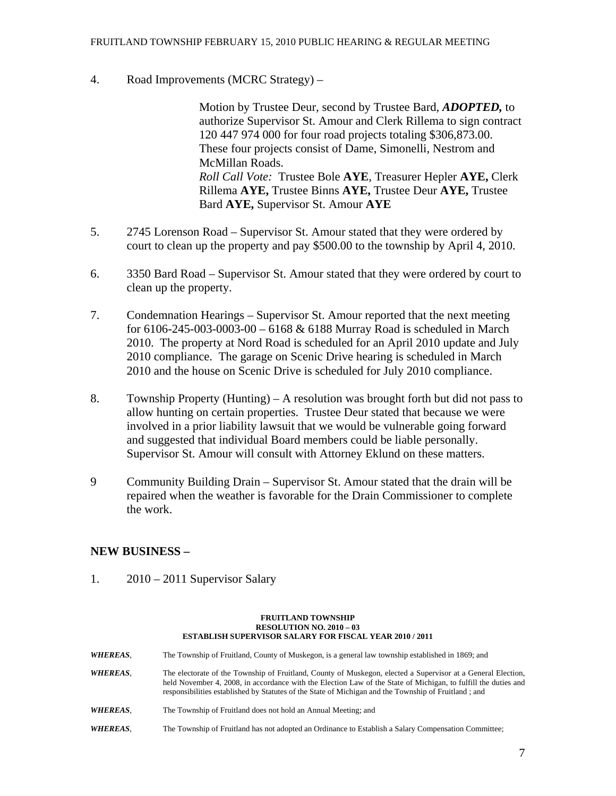4. Road Improvements (MCRC Strategy) –

Motion by Trustee Deur, second by Trustee Bard, *ADOPTED,* to authorize Supervisor St. Amour and Clerk Rillema to sign contract 120 447 974 000 for four road projects totaling \$306,873.00. These four projects consist of Dame, Simonelli, Nestrom and McMillan Roads. *Roll Call Vote:* Trustee Bole **AYE**, Treasurer Hepler **AYE,** Clerk Rillema **AYE,** Trustee Binns **AYE,** Trustee Deur **AYE,** Trustee Bard **AYE,** Supervisor St. Amour **AYE** 

- 5. 2745 Lorenson Road Supervisor St. Amour stated that they were ordered by court to clean up the property and pay \$500.00 to the township by April 4, 2010.
- 6. 3350 Bard Road Supervisor St. Amour stated that they were ordered by court to clean up the property.
- 7. Condemnation Hearings Supervisor St. Amour reported that the next meeting for 6106-245-003-0003-00 – 6168 & 6188 Murray Road is scheduled in March 2010. The property at Nord Road is scheduled for an April 2010 update and July 2010 compliance. The garage on Scenic Drive hearing is scheduled in March 2010 and the house on Scenic Drive is scheduled for July 2010 compliance.
- 8. Township Property (Hunting) A resolution was brought forth but did not pass to allow hunting on certain properties. Trustee Deur stated that because we were involved in a prior liability lawsuit that we would be vulnerable going forward and suggested that individual Board members could be liable personally. Supervisor St. Amour will consult with Attorney Eklund on these matters.
- 9 Community Building Drain Supervisor St. Amour stated that the drain will be repaired when the weather is favorable for the Drain Commissioner to complete the work.

## **NEW BUSINESS –**

1. 2010 – 2011 Supervisor Salary

#### **FRUITLAND TOWNSHIP RESOLUTION NO. 2010 – 03 ESTABLISH SUPERVISOR SALARY FOR FISCAL YEAR 2010 / 2011**

*WHEREAS*, The Township of Fruitland, County of Muskegon, is a general law township established in 1869; and *WHEREAS*, The electorate of the Township of Fruitland, County of Muskegon, elected a Supervisor at a General Election, held November 4, 2008, in accordance with the Election Law of the State of Michigan, to fulfill the duties and responsibilities established by Statutes of the State of Michigan and the Township of Fruitland ; and *WHEREAS*, The Township of Fruitland does not hold an Annual Meeting; and *WHEREAS*, The Township of Fruitland has not adopted an Ordinance to Establish a Salary Compensation Committee;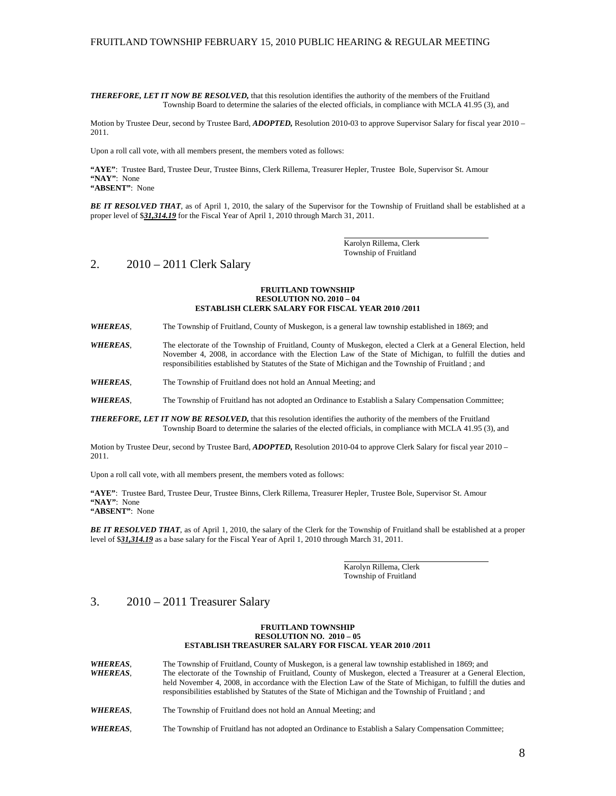### FRUITLAND TOWNSHIP FEBRUARY 15, 2010 PUBLIC HEARING & REGULAR MEETING

*THEREFORE, LET IT NOW BE RESOLVED,* that this resolution identifies the authority of the members of the Fruitland Township Board to determine the salaries of the elected officials, in compliance with MCLA 41.95 (3), and

Motion by Trustee Deur, second by Trustee Bard, *ADOPTED,* Resolution 2010-03 to approve Supervisor Salary for fiscal year 2010 – 2011.

Upon a roll call vote, with all members present, the members voted as follows:

**"AYE"**: Trustee Bard, Trustee Deur, Trustee Binns, Clerk Rillema, Treasurer Hepler, Trustee Bole, Supervisor St. Amour **"NAY"**: None **"ABSENT"**: None

*BE IT RESOLVED THAT*, as of April 1, 2010, the salary of the Supervisor for the Township of Fruitland shall be established at a proper level of \$*31,314.19* for the Fiscal Year of April 1, 2010 through March 31, 2011.

> Karolyn Rillema, Clerk Township of Fruitland

### 2. 2010 – 2011 Clerk Salary

#### **FRUITLAND TOWNSHIP RESOLUTION NO. 2010 – 04 ESTABLISH CLERK SALARY FOR FISCAL YEAR 2010 /2011**

*WHEREAS*, The Township of Fruitland, County of Muskegon, is a general law township established in 1869; and

*WHEREAS*, The electorate of the Township of Fruitland, County of Muskegon, elected a Clerk at a General Election, held November 4, 2008, in accordance with the Election Law of the State of Michigan, to fulfill the duties and responsibilities established by Statutes of the State of Michigan and the Township of Fruitland ; and

*WHEREAS*, The Township of Fruitland does not hold an Annual Meeting; and

*WHEREAS*, The Township of Fruitland has not adopted an Ordinance to Establish a Salary Compensation Committee;

*THEREFORE, LET IT NOW BE RESOLVED,* that this resolution identifies the authority of the members of the Fruitland Township Board to determine the salaries of the elected officials, in compliance with MCLA 41.95 (3), and

Motion by Trustee Deur, second by Trustee Bard, *ADOPTED,* Resolution 2010-04 to approve Clerk Salary for fiscal year 2010 – 2011.

Upon a roll call vote, with all members present, the members voted as follows:

**"AYE"**: Trustee Bard, Trustee Deur, Trustee Binns, Clerk Rillema, Treasurer Hepler, Trustee Bole, Supervisor St. Amour **"NAY"**: None

**"ABSENT"**: None

*BE IT RESOLVED THAT*, as of April 1, 2010, the salary of the Clerk for the Township of Fruitland shall be established at a proper level of \$*31,314.19* as a base salary for the Fiscal Year of April 1, 2010 through March 31, 2011.

> Karolyn Rillema, Clerk Township of Fruitland

### 3. 2010 – 2011 Treasurer Salary

#### **FRUITLAND TOWNSHIP RESOLUTION NO. 2010 – 05 ESTABLISH TREASURER SALARY FOR FISCAL YEAR 2010 /2011**

- *WHEREAS*, The Township of Fruitland, County of Muskegon, is a general law township established in 1869; and *WHEREAS*, The electorate of the Township of Fruitland, County of Muskegon, elected a Treasurer at a General Election, held November 4, 2008, in accordance with the Election Law of the State of Michigan, to fulfill the duties and responsibilities established by Statutes of the State of Michigan and the Township of Fruitland ; and
- *WHEREAS*, The Township of Fruitland does not hold an Annual Meeting; and
- *WHEREAS*, The Township of Fruitland has not adopted an Ordinance to Establish a Salary Compensation Committee;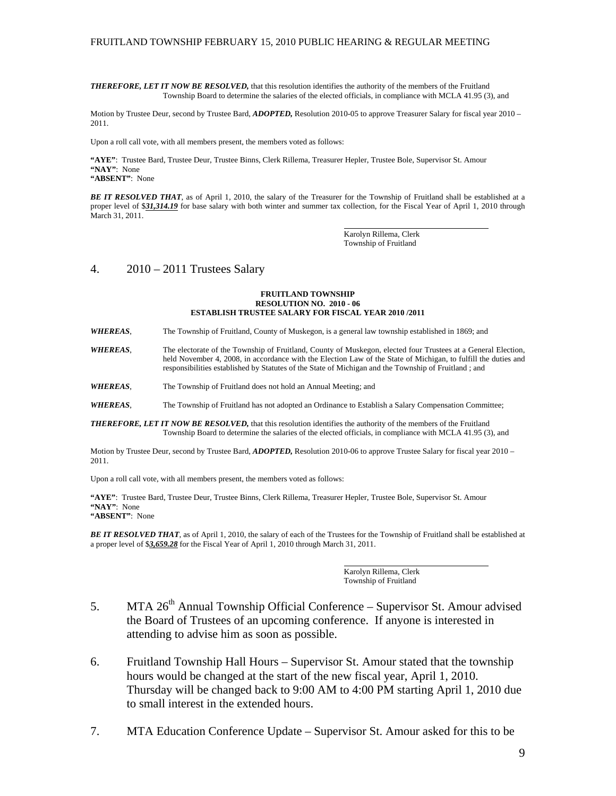### FRUITLAND TOWNSHIP FEBRUARY 15, 2010 PUBLIC HEARING & REGULAR MEETING

*THEREFORE, LET IT NOW BE RESOLVED,* that this resolution identifies the authority of the members of the Fruitland Township Board to determine the salaries of the elected officials, in compliance with MCLA 41.95 (3), and

Motion by Trustee Deur, second by Trustee Bard, *ADOPTED,* Resolution 2010-05 to approve Treasurer Salary for fiscal year 2010 – 2011.

Upon a roll call vote, with all members present, the members voted as follows:

**"AYE"**: Trustee Bard, Trustee Deur, Trustee Binns, Clerk Rillema, Treasurer Hepler, Trustee Bole, Supervisor St. Amour **"NAY"**: None

**"ABSENT"**: None

*BE IT RESOLVED THAT*, as of April 1, 2010, the salary of the Treasurer for the Township of Fruitland shall be established at a proper level of \$31,314.19 for base salary with both winter and summer tax collection, for the Fiscal Year of April 1, 2010 through March 31, 2011.

> Karolyn Rillema, Clerk Township of Fruitland

### 4. 2010 – 2011 Trustees Salary

#### **FRUITLAND TOWNSHIP RESOLUTION NO. 2010 - 06 ESTABLISH TRUSTEE SALARY FOR FISCAL YEAR 2010 /2011**

*WHEREAS*, The Township of Fruitland, County of Muskegon, is a general law township established in 1869; and

*WHEREAS*, The electorate of the Township of Fruitland, County of Muskegon, elected four Trustees at a General Election, held November 4, 2008, in accordance with the Election Law of the State of Michigan, to fulfill the duties and responsibilities established by Statutes of the State of Michigan and the Township of Fruitland ; and

*WHEREAS*, The Township of Fruitland does not hold an Annual Meeting; and

*WHEREAS*, The Township of Fruitland has not adopted an Ordinance to Establish a Salary Compensation Committee;

*THEREFORE, LET IT NOW BE RESOLVED,* that this resolution identifies the authority of the members of the Fruitland Township Board to determine the salaries of the elected officials, in compliance with MCLA 41.95 (3), and

Motion by Trustee Deur, second by Trustee Bard, *ADOPTED,* Resolution 2010-06 to approve Trustee Salary for fiscal year 2010 – 2011.

Upon a roll call vote, with all members present, the members voted as follows:

**"AYE"**: Trustee Bard, Trustee Deur, Trustee Binns, Clerk Rillema, Treasurer Hepler, Trustee Bole, Supervisor St. Amour **"NAY"**: None

**"ABSENT"**: None

*BE IT RESOLVED THAT*, as of April 1, 2010, the salary of each of the Trustees for the Township of Fruitland shall be established at a proper level of \$*3,659.28* for the Fiscal Year of April 1, 2010 through March 31, 2011.

> Karolyn Rillema, Clerk Township of Fruitland

- 5. MTA  $26<sup>th</sup>$  Annual Township Official Conference Supervisor St. Amour advised the Board of Trustees of an upcoming conference. If anyone is interested in attending to advise him as soon as possible.
- 6. Fruitland Township Hall Hours Supervisor St. Amour stated that the township hours would be changed at the start of the new fiscal year, April 1, 2010. Thursday will be changed back to 9:00 AM to 4:00 PM starting April 1, 2010 due to small interest in the extended hours.
- 7. MTA Education Conference Update Supervisor St. Amour asked for this to be